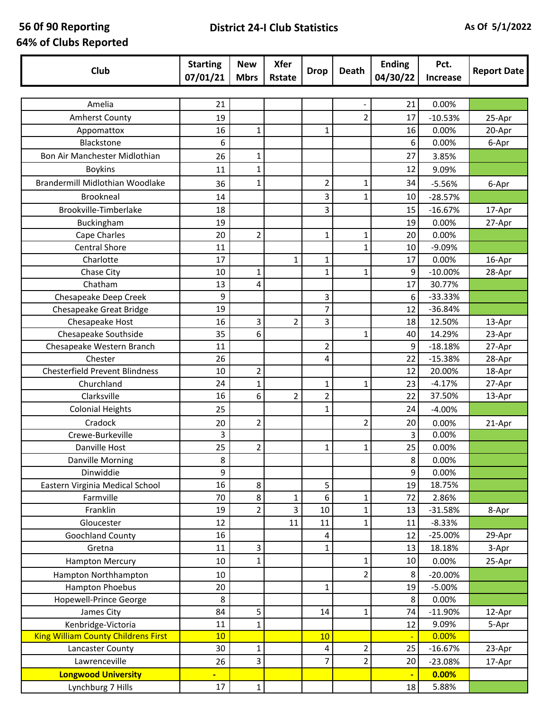## **56 0f 90 Reporting 64% of Clubs Reported**

## **District 24-I Club Statistics As Of 5/1/2022**

| Club                                       | <b>Starting</b><br>07/01/21 | <b>New</b><br><b>Mbrs</b> | <b>Xfer</b><br><b>Rstate</b> | <b>Drop</b>    | Death          | <b>Ending</b><br>04/30/22 | Pct.<br><b>Increase</b> | <b>Report Date</b> |
|--------------------------------------------|-----------------------------|---------------------------|------------------------------|----------------|----------------|---------------------------|-------------------------|--------------------|
|                                            |                             |                           |                              |                |                |                           |                         |                    |
| Amelia                                     | 21                          |                           |                              |                |                | 21                        | 0.00%                   |                    |
| Amherst County                             | 19                          |                           |                              |                | $\overline{2}$ | 17                        | $-10.53%$               | 25-Apr             |
| Appomattox                                 | 16                          | $\mathbf{1}$              |                              | 1              |                | 16                        | 0.00%                   | 20-Apr             |
| Blackstone                                 | 6                           |                           |                              |                |                | 6                         | 0.00%                   | 6-Apr              |
| Bon Air Manchester Midlothian              | 26                          | $\mathbf{1}$              |                              |                |                | 27                        | 3.85%                   |                    |
| <b>Boykins</b>                             | 11                          | $\mathbf{1}$              |                              |                |                | 12                        | 9.09%                   |                    |
| Brandermill Midlothian Woodlake            | 36                          | $\mathbf{1}$              |                              | $\overline{2}$ | 1              | 34                        | $-5.56%$                | 6-Apr              |
| <b>Brookneal</b>                           | 14                          |                           |                              | 3              | 1              | 10                        | $-28.57%$               |                    |
| Brookville-Timberlake                      | 18                          |                           |                              | 3              |                | 15                        | $-16.67%$               | 17-Apr             |
| Buckingham                                 | 19                          |                           |                              |                |                | 19                        | 0.00%                   | 27-Apr             |
| Cape Charles                               | 20                          | $\overline{2}$            |                              | $\mathbf{1}$   | 1              | 20                        | 0.00%                   |                    |
| <b>Central Shore</b>                       | 11                          |                           |                              |                | 1              | 10                        | $-9.09%$                |                    |
| Charlotte                                  | 17                          |                           | 1                            | $\mathbf{1}$   |                | 17                        | 0.00%                   | 16-Apr             |
| Chase City                                 | 10                          | $\mathbf{1}$              |                              | $\mathbf{1}$   | 1              | 9                         | $-10.00%$               | 28-Apr             |
| Chatham                                    | 13                          | 4                         |                              |                |                | 17                        | 30.77%                  |                    |
| Chesapeake Deep Creek                      | 9                           |                           |                              | 3              |                | 6                         | $-33.33%$               |                    |
| Chesapeake Great Bridge                    | 19                          |                           |                              | $\overline{7}$ |                | 12                        | $-36.84%$               |                    |
| Chesapeake Host                            | 16                          | 3                         | 2                            | 3              |                | 18                        | 12.50%                  | 13-Apr             |
| Chesapeake Southside                       | 35                          | 6                         |                              |                | 1              | 40                        | 14.29%                  | 23-Apr             |
| Chesapeake Western Branch                  | 11                          |                           |                              | $\overline{2}$ |                | 9                         | $-18.18%$               | 27-Apr             |
| Chester                                    | 26                          |                           |                              | 4              |                | 22                        | $-15.38%$               | 28-Apr             |
| <b>Chesterfield Prevent Blindness</b>      | 10                          | $\overline{2}$            |                              |                |                | 12                        | 20.00%                  | 18-Apr             |
| Churchland                                 | 24                          | $\mathbf{1}$              |                              | $\mathbf{1}$   | 1              | 23                        | $-4.17%$                | 27-Apr             |
| Clarksville                                | 16                          | 6                         | 2                            | $\overline{2}$ |                | 22                        | 37.50%                  | 13-Apr             |
| <b>Colonial Heights</b>                    | 25                          |                           |                              | $\mathbf{1}$   |                | 24                        | $-4.00%$                |                    |
| Cradock                                    | 20                          | $\overline{2}$            |                              |                | 2              | 20                        | 0.00%                   | 21-Apr             |
| Crewe-Burkeville                           | 3                           |                           |                              |                |                | 3                         | 0.00%                   |                    |
| Danville Host                              | 25                          | $\overline{2}$            |                              | $\mathbf{1}$   | 1              | 25                        | 0.00%                   |                    |
| Danville Morning                           | 8                           |                           |                              |                |                | 8                         | 0.00%                   |                    |
| Dinwiddie                                  | 9                           |                           |                              |                |                | 9                         | 0.00%                   |                    |
| Eastern Virginia Medical School            | 16                          | 8                         |                              | 5              |                | 19                        | 18.75%                  |                    |
| Farmville                                  | 70                          | 8                         | 1                            | 6              | 1              | 72                        | 2.86%                   |                    |
| Franklin                                   | 19                          | $\overline{2}$            | 3                            | 10             | 1              | 13                        | $-31.58%$               | 8-Apr              |
| Gloucester                                 | 12                          |                           | 11                           | 11             | 1              | 11                        | $-8.33%$                |                    |
| <b>Goochland County</b>                    | 16                          |                           |                              | 4              |                | 12                        | $-25.00%$               | 29-Apr             |
| Gretna                                     | 11                          | $\mathbf{3}$              |                              | $\mathbf{1}$   |                | 13                        | 18.18%                  | 3-Apr              |
| <b>Hampton Mercury</b>                     | 10                          | $\mathbf{1}$              |                              |                | $\mathbf{1}$   | 10                        | 0.00%                   | 25-Apr             |
| Hampton Northhampton                       | 10                          |                           |                              |                | $\overline{2}$ | 8                         | $-20.00%$               |                    |
| Hampton Phoebus                            | 20                          |                           |                              | $\mathbf{1}$   |                | 19                        | $-5.00%$                |                    |
| Hopewell-Prince George                     | 8                           |                           |                              |                |                | 8                         | 0.00%                   |                    |
| James City                                 | 84                          | 5                         |                              | 14             | 1              | 74                        | $-11.90%$               | 12-Apr             |
| Kenbridge-Victoria                         | 11                          | $\mathbf{1}$              |                              |                |                | 12                        | 9.09%                   | 5-Apr              |
| <b>King William County Childrens First</b> | 10                          |                           |                              | 10             |                |                           | 0.00%                   |                    |
| Lancaster County                           | 30                          | $\mathbf{1}$              |                              | 4              | 2              | 25                        | $-16.67%$               | 23-Apr             |
| Lawrenceville                              | 26                          | 3                         |                              | $\overline{7}$ | $\overline{2}$ | 20                        | $-23.08%$               | 17-Apr             |
| <b>Longwood University</b>                 | ٠                           |                           |                              |                |                |                           | 0.00%                   |                    |
| Lynchburg 7 Hills                          | 17                          | $\mathbf 1$               |                              |                |                | 18                        | 5.88%                   |                    |